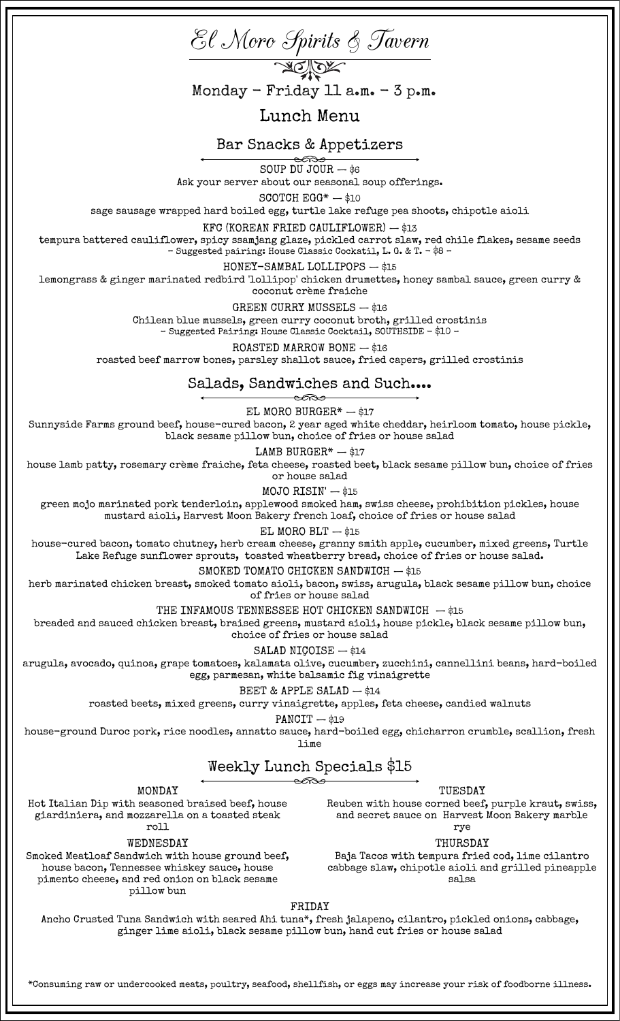

FRIDAY

Ancho Crusted Tuna Sandwich with seared Ahi tuna\*, fresh jalapeno, cilantro, pickled onions, cabbage, ginger lime aioli, black sesame pillow bun, hand cut fries or house salad

\*Consuming raw or undercooked meats, poultry, seafood, shellfish, or eggs may increase your risk of foodborne illness.